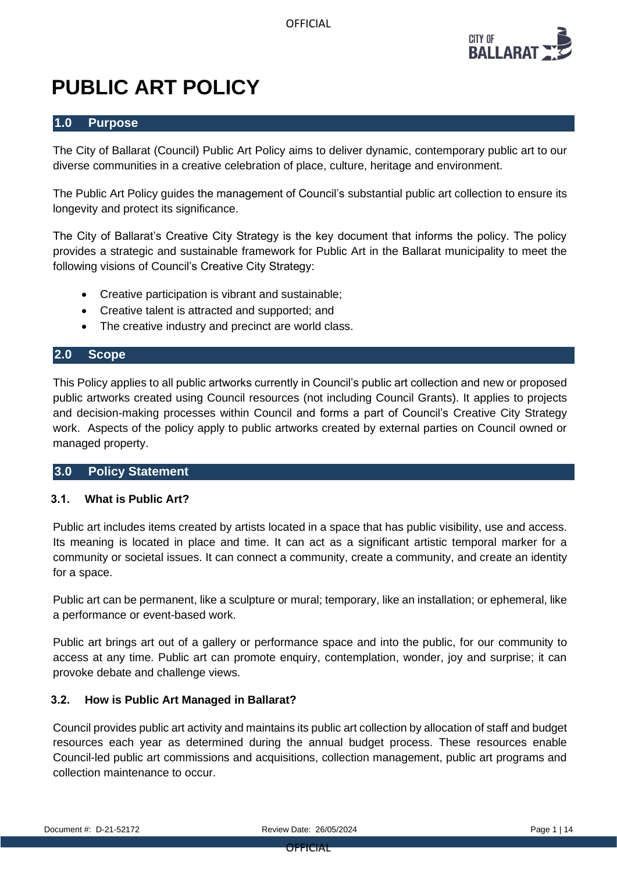

# **PUBLIC ART POLICY**

#### **1.0 Purpose**

The City of Ballarat (Council) Public Art Policy aims to deliver dynamic, contemporary public art to our diverse communities in a creative celebration of place, culture, heritage and environment.

The Public Art Policy guides the management of Council's substantial public art collection to ensure its longevity and protect its significance.

The City of Ballarat's Creative City Strategy is the key document that informs the policy. The policy provides a strategic and sustainable framework for Public Art in the Ballarat municipality to meet the following visions of Council's Creative City Strategy:

- Creative participation is vibrant and sustainable;
- Creative talent is attracted and supported; and
- The creative industry and precinct are world class.

#### **2.0 Scope**

This Policy applies to all public artworks currently in Council's public art collection and new or proposed public artworks created using Council resources (not including Council Grants). It applies to projects and decision-making processes within Council and forms a part of Council's Creative City Strategy work. Aspects of the policy apply to public artworks created by external parties on Council owned or managed property.

#### **3.0 Policy Statement**

#### **3.1. What is Public Art?**

Public art includes items created by artists located in a space that has public visibility, use and access. Its meaning is located in place and time. It can act as a significant artistic temporal marker for a community or societal issues. It can connect a community, create a community, and create an identity for a space.

Public art can be permanent, like a sculpture or mural; temporary, like an installation; or ephemeral, like a performance or event-based work.

Public art brings art out of a gallery or performance space and into the public, for our community to access at any time. Public art can promote enquiry, contemplation, wonder, joy and surprise; it can provoke debate and challenge views.

#### **3.2. How is Public Art Managed in Ballarat?**

Council provides public art activity and maintains its public art collection by allocation of staff and budget resources each year as determined during the annual budget process. These resources enable Council-led public art commissions and acquisitions, collection management, public art programs and collection maintenance to occur.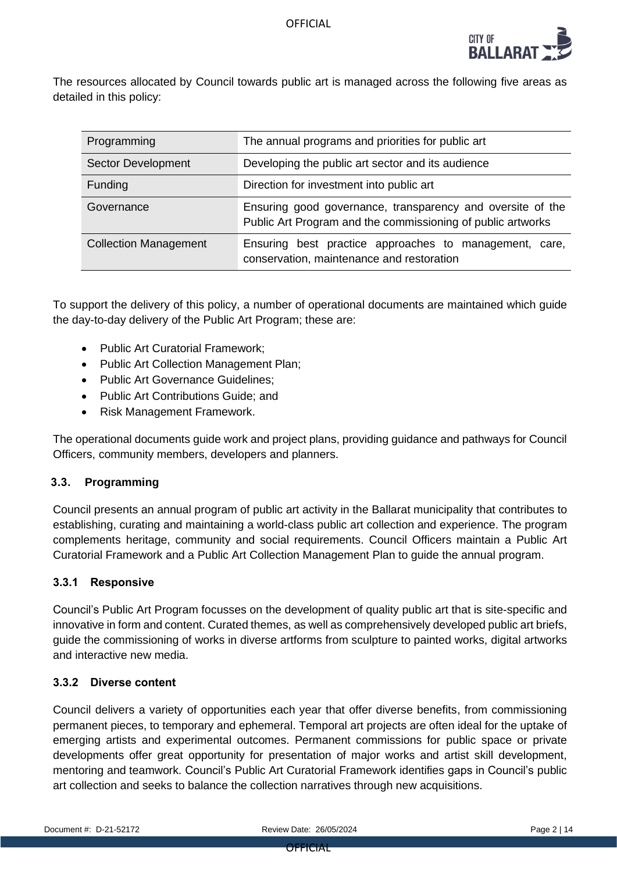

The resources allocated by Council towards public art is managed across the following five areas as detailed in this policy:

| Programming                  | The annual programs and priorities for public art                                                                         |  |
|------------------------------|---------------------------------------------------------------------------------------------------------------------------|--|
| Sector Development           | Developing the public art sector and its audience                                                                         |  |
| Funding                      | Direction for investment into public art                                                                                  |  |
| Governance                   | Ensuring good governance, transparency and oversite of the<br>Public Art Program and the commissioning of public artworks |  |
| <b>Collection Management</b> | Ensuring best practice approaches to management, care,<br>conservation, maintenance and restoration                       |  |

To support the delivery of this policy, a number of operational documents are maintained which guide the day-to-day delivery of the Public Art Program; these are:

- Public Art Curatorial Framework;
- Public Art Collection Management Plan;
- Public Art Governance Guidelines;
- Public Art Contributions Guide; and
- Risk Management Framework.

The operational documents guide work and project plans, providing guidance and pathways for Council Officers, community members, developers and planners.

#### **3.3. Programming**

Council presents an annual program of public art activity in the Ballarat municipality that contributes to establishing, curating and maintaining a world-class public art collection and experience. The program complements heritage, community and social requirements. Council Officers maintain a Public Art Curatorial Framework and a Public Art Collection Management Plan to guide the annual program.

#### **3.3.1 Responsive**

Council's Public Art Program focusses on the development of quality public art that is site-specific and innovative in form and content. Curated themes, as well as comprehensively developed public art briefs, guide the commissioning of works in diverse artforms from sculpture to painted works, digital artworks and interactive new media.

#### **3.3.2 Diverse content**

Council delivers a variety of opportunities each year that offer diverse benefits, from commissioning permanent pieces, to temporary and ephemeral. Temporal art projects are often ideal for the uptake of emerging artists and experimental outcomes. Permanent commissions for public space or private developments offer great opportunity for presentation of major works and artist skill development, mentoring and teamwork. Council's Public Art Curatorial Framework identifies gaps in Council's public art collection and seeks to balance the collection narratives through new acquisitions.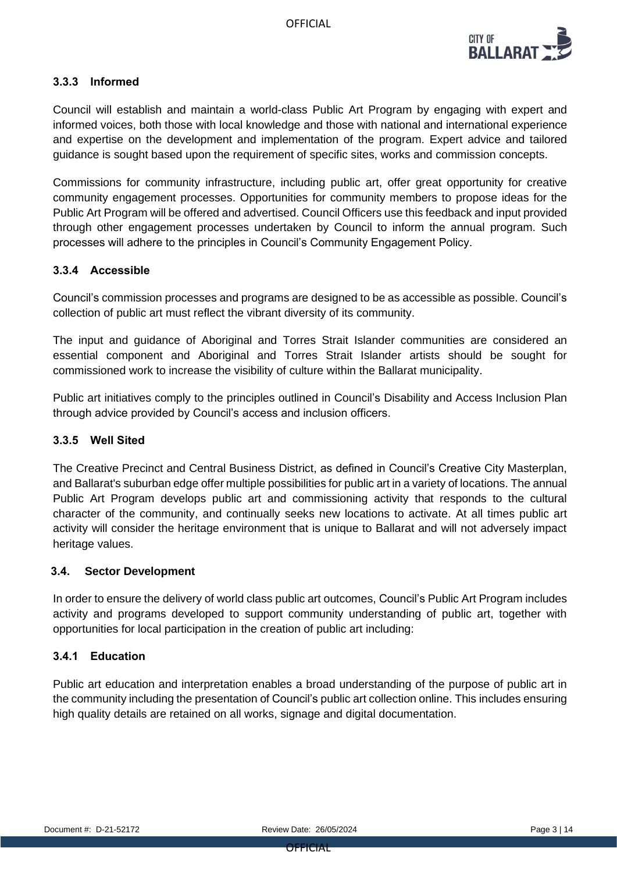

# **3.3.3 Informed**

Council will establish and maintain a world-class Public Art Program by engaging with expert and informed voices, both those with local knowledge and those with national and international experience and expertise on the development and implementation of the program. Expert advice and tailored guidance is sought based upon the requirement of specific sites, works and commission concepts.

Commissions for community infrastructure, including public art, offer great opportunity for creative community engagement processes. Opportunities for community members to propose ideas for the Public Art Program will be offered and advertised. Council Officers use this feedback and input provided through other engagement processes undertaken by Council to inform the annual program. Such processes will adhere to the principles in Council's Community Engagement Policy.

#### **3.3.4 Accessible**

Council's commission processes and programs are designed to be as accessible as possible. Council's collection of public art must reflect the vibrant diversity of its community.

The input and guidance of Aboriginal and Torres Strait Islander communities are considered an essential component and Aboriginal and Torres Strait Islander artists should be sought for commissioned work to increase the visibility of culture within the Ballarat municipality.

Public art initiatives comply to the principles outlined in Council's Disability and Access Inclusion Plan through advice provided by Council's access and inclusion officers.

#### **3.3.5 Well Sited**

The Creative Precinct and Central Business District, as defined in Council's Creative City Masterplan, and Ballarat's suburban edge offer multiple possibilities for public art in a variety of locations. The annual Public Art Program develops public art and commissioning activity that responds to the cultural character of the community, and continually seeks new locations to activate. At all times public art activity will consider the heritage environment that is unique to Ballarat and will not adversely impact heritage values.

#### **3.4. Sector Development**

In order to ensure the delivery of world class public art outcomes, Council's Public Art Program includes activity and programs developed to support community understanding of public art, together with opportunities for local participation in the creation of public art including:

#### **3.4.1 Education**

Public art education and interpretation enables a broad understanding of the purpose of public art in the community including the presentation of Council's public art collection online. This includes ensuring high quality details are retained on all works, signage and digital documentation.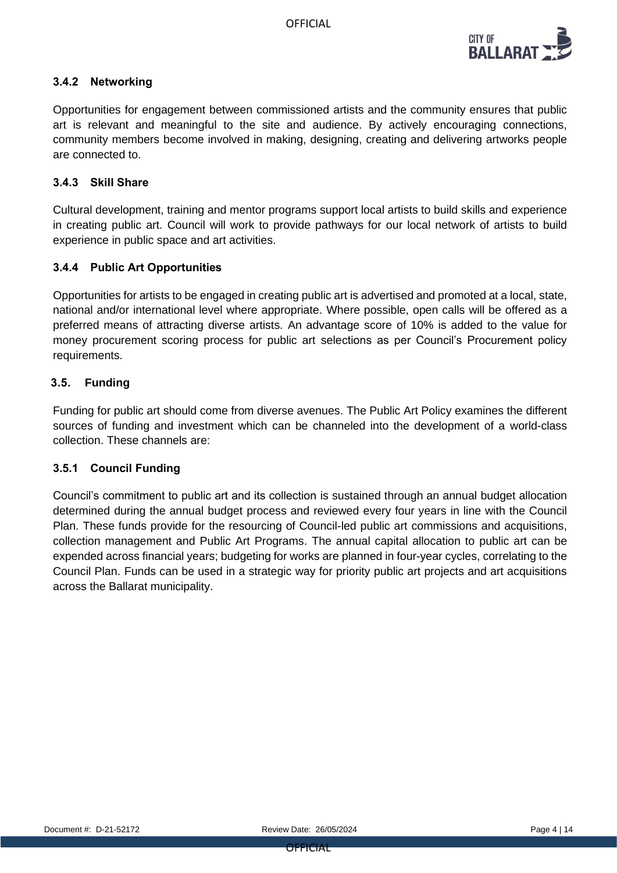

# **3.4.2 Networking**

Opportunities for engagement between commissioned artists and the community ensures that public art is relevant and meaningful to the site and audience. By actively encouraging connections, community members become involved in making, designing, creating and delivering artworks people are connected to.

#### **3.4.3 Skill Share**

Cultural development, training and mentor programs support local artists to build skills and experience in creating public art. Council will work to provide pathways for our local network of artists to build experience in public space and art activities.

# **3.4.4 Public Art Opportunities**

Opportunities for artists to be engaged in creating public art is advertised and promoted at a local, state, national and/or international level where appropriate. Where possible, open calls will be offered as a preferred means of attracting diverse artists. An advantage score of 10% is added to the value for money procurement scoring process for public art selections as per Council's Procurement policy requirements.

#### **3.5. Funding**

Funding for public art should come from diverse avenues. The Public Art Policy examines the different sources of funding and investment which can be channeled into the development of a world-class collection. These channels are:

#### **3.5.1 Council Funding**

Council's commitment to public art and its collection is sustained through an annual budget allocation determined during the annual budget process and reviewed every four years in line with the Council Plan. These funds provide for the resourcing of Council-led public art commissions and acquisitions, collection management and Public Art Programs. The annual capital allocation to public art can be expended across financial years; budgeting for works are planned in four-year cycles, correlating to the Council Plan. Funds can be used in a strategic way for priority public art projects and art acquisitions across the Ballarat municipality.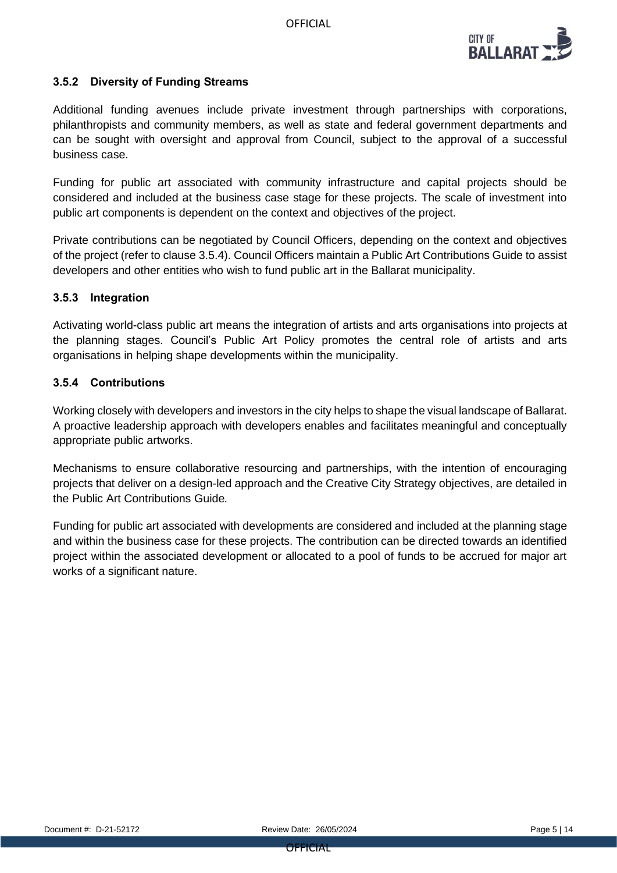

# **3.5.2 Diversity of Funding Streams**

Additional funding avenues include private investment through partnerships with corporations, philanthropists and community members, as well as state and federal government departments and can be sought with oversight and approval from Council, subject to the approval of a successful business case.

Funding for public art associated with community infrastructure and capital projects should be considered and included at the business case stage for these projects. The scale of investment into public art components is dependent on the context and objectives of the project.

Private contributions can be negotiated by Council Officers, depending on the context and objectives of the project (refer to claus[e 3.5.4\)](#page-4-0). Council Officers maintain a Public Art Contributions Guide to assist developers and other entities who wish to fund public art in the Ballarat municipality.

#### **3.5.3 Integration**

Activating world-class public art means the integration of artists and arts organisations into projects at the planning stages. Council's Public Art Policy promotes the central role of artists and arts organisations in helping shape developments within the municipality.

#### <span id="page-4-0"></span>**3.5.4 Contributions**

Working closely with developers and investors in the city helps to shape the visual landscape of Ballarat. A proactive leadership approach with developers enables and facilitates meaningful and conceptually appropriate public artworks.

Mechanisms to ensure collaborative resourcing and partnerships, with the intention of encouraging projects that deliver on a design-led approach and the Creative City Strategy objectives, are detailed in the Public Art Contributions Guide*.*

Funding for public art associated with developments are considered and included at the planning stage and within the business case for these projects. The contribution can be directed towards an identified project within the associated development or allocated to a pool of funds to be accrued for major art works of a significant nature.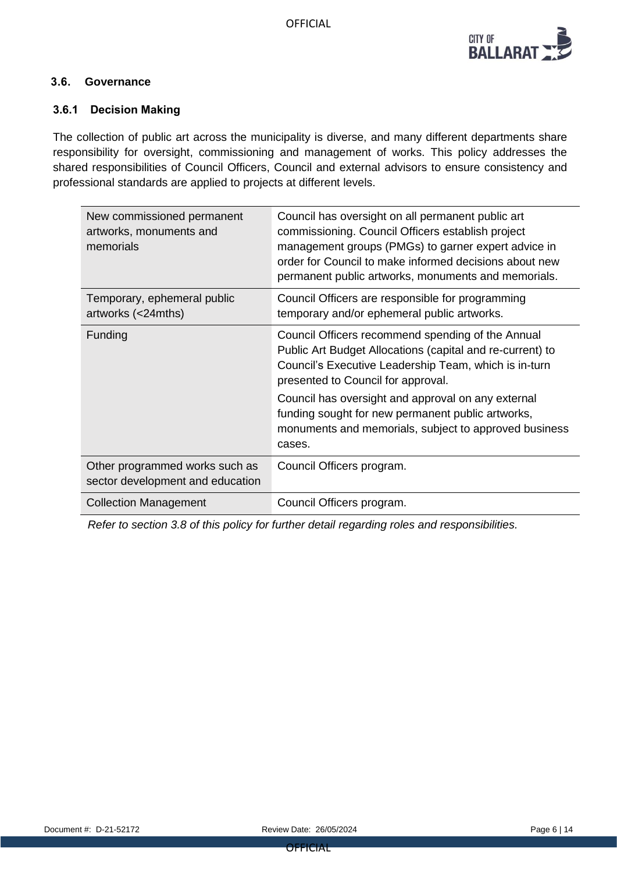

#### **3.6. Governance**

#### **3.6.1 Decision Making**

The collection of public art across the municipality is diverse, and many different departments share responsibility for oversight, commissioning and management of works. This policy addresses the shared responsibilities of Council Officers, Council and external advisors to ensure consistency and professional standards are applied to projects at different levels.

| New commissioned permanent<br>artworks, monuments and<br>memorials | Council has oversight on all permanent public art<br>commissioning. Council Officers establish project<br>management groups (PMGs) to garner expert advice in<br>order for Council to make informed decisions about new<br>permanent public artworks, monuments and memorials.                                                                                                    |
|--------------------------------------------------------------------|-----------------------------------------------------------------------------------------------------------------------------------------------------------------------------------------------------------------------------------------------------------------------------------------------------------------------------------------------------------------------------------|
| Temporary, ephemeral public<br>artworks (<24mths)                  | Council Officers are responsible for programming<br>temporary and/or ephemeral public artworks.                                                                                                                                                                                                                                                                                   |
| Funding                                                            | Council Officers recommend spending of the Annual<br>Public Art Budget Allocations (capital and re-current) to<br>Council's Executive Leadership Team, which is in-turn<br>presented to Council for approval.<br>Council has oversight and approval on any external<br>funding sought for new permanent public artworks,<br>monuments and memorials, subject to approved business |
|                                                                    | cases.                                                                                                                                                                                                                                                                                                                                                                            |
| Other programmed works such as<br>sector development and education | Council Officers program.                                                                                                                                                                                                                                                                                                                                                         |
| <b>Collection Management</b>                                       | Council Officers program.                                                                                                                                                                                                                                                                                                                                                         |

*Refer to section 3.8 of this policy for further detail regarding roles and responsibilities.*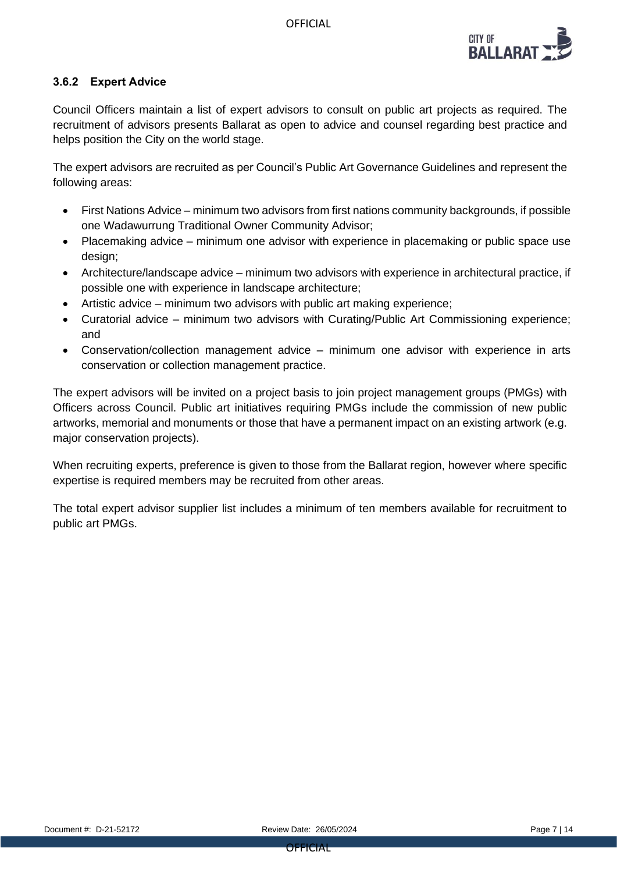

# **3.6.2 Expert Advice**

Council Officers maintain a list of expert advisors to consult on public art projects as required. The recruitment of advisors presents Ballarat as open to advice and counsel regarding best practice and helps position the City on the world stage.

The expert advisors are recruited as per Council's Public Art Governance Guidelines and represent the following areas:

- First Nations Advice minimum two advisors from first nations community backgrounds, if possible one Wadawurrung Traditional Owner Community Advisor;
- Placemaking advice minimum one advisor with experience in placemaking or public space use design;
- Architecture/landscape advice minimum two advisors with experience in architectural practice, if possible one with experience in landscape architecture;
- Artistic advice minimum two advisors with public art making experience;
- Curatorial advice minimum two advisors with Curating/Public Art Commissioning experience; and
- Conservation/collection management advice minimum one advisor with experience in arts conservation or collection management practice.

The expert advisors will be invited on a project basis to join project management groups (PMGs) with Officers across Council. Public art initiatives requiring PMGs include the commission of new public artworks, memorial and monuments or those that have a permanent impact on an existing artwork (e.g. major conservation projects).

When recruiting experts, preference is given to those from the Ballarat region, however where specific expertise is required members may be recruited from other areas.

The total expert advisor supplier list includes a minimum of ten members available for recruitment to public art PMGs.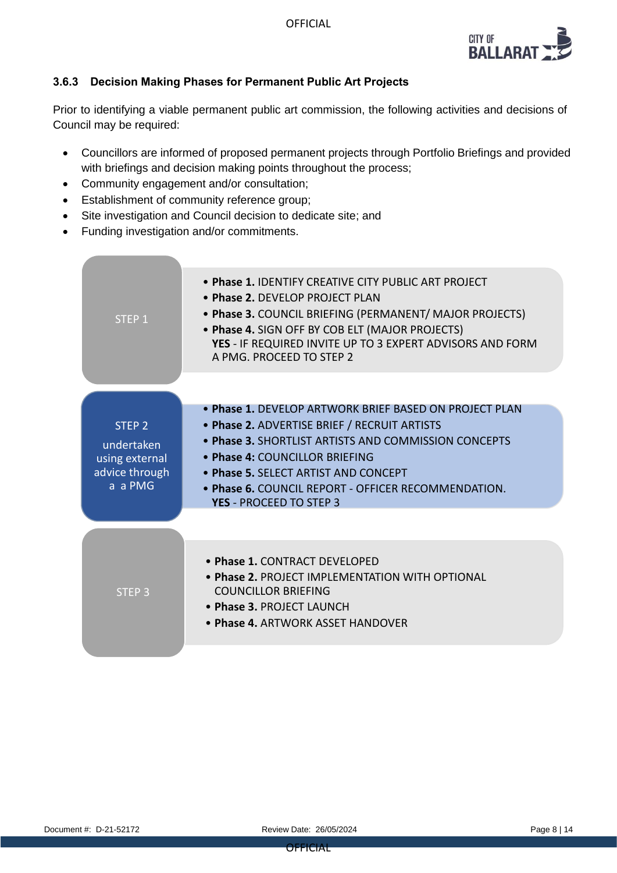

# **3.6.3 Decision Making Phases for Permanent Public Art Projects**

Prior to identifying a viable permanent public art commission, the following activities and decisions of Council may be required:

- Councillors are informed of proposed permanent projects through Portfolio Briefings and provided with briefings and decision making points throughout the process;
- Community engagement and/or consultation;
- Establishment of community reference group;
- Site investigation and Council decision to dedicate site; and
- Funding investigation and/or commitments.

| STEP <sub>1</sub>                                                              | • Phase 1. IDENTIFY CREATIVE CITY PUBLIC ART PROJECT<br>• Phase 2. DEVELOP PROJECT PLAN<br>• Phase 3. COUNCIL BRIEFING (PERMANENT/ MAJOR PROJECTS)<br>• Phase 4. SIGN OFF BY COB ELT (MAJOR PROJECTS)<br>YES - IF REQUIRED INVITE UP TO 3 EXPERT ADVISORS AND FORM<br>A PMG. PROCEED TO STEP 2                             |
|--------------------------------------------------------------------------------|----------------------------------------------------------------------------------------------------------------------------------------------------------------------------------------------------------------------------------------------------------------------------------------------------------------------------|
|                                                                                |                                                                                                                                                                                                                                                                                                                            |
|                                                                                |                                                                                                                                                                                                                                                                                                                            |
| STEP <sub>2</sub><br>undertaken<br>using external<br>advice through<br>a a PMG | • Phase 1. DEVELOP ARTWORK BRIEF BASED ON PROJECT PLAN<br>• Phase 2. ADVERTISE BRIEF / RECRUIT ARTISTS<br>• Phase 3. SHORTLIST ARTISTS AND COMMISSION CONCEPTS<br>· Phase 4: COUNCILLOR BRIEFING<br>• Phase 5. SELECT ARTIST AND CONCEPT<br>• Phase 6. COUNCIL REPORT - OFFICER RECOMMENDATION.<br>YES - PROCEED TO STEP 3 |
|                                                                                |                                                                                                                                                                                                                                                                                                                            |
| STEP <sub>3</sub>                                                              | • Phase 1. CONTRACT DEVELOPED<br>• Phase 2. PROJECT IMPLEMENTATION WITH OPTIONAL<br><b>COUNCILLOR BRIEFING</b><br>• Phase 3. PROJECT LAUNCH<br>• Phase 4. ARTWORK ASSET HANDOVER                                                                                                                                           |
|                                                                                |                                                                                                                                                                                                                                                                                                                            |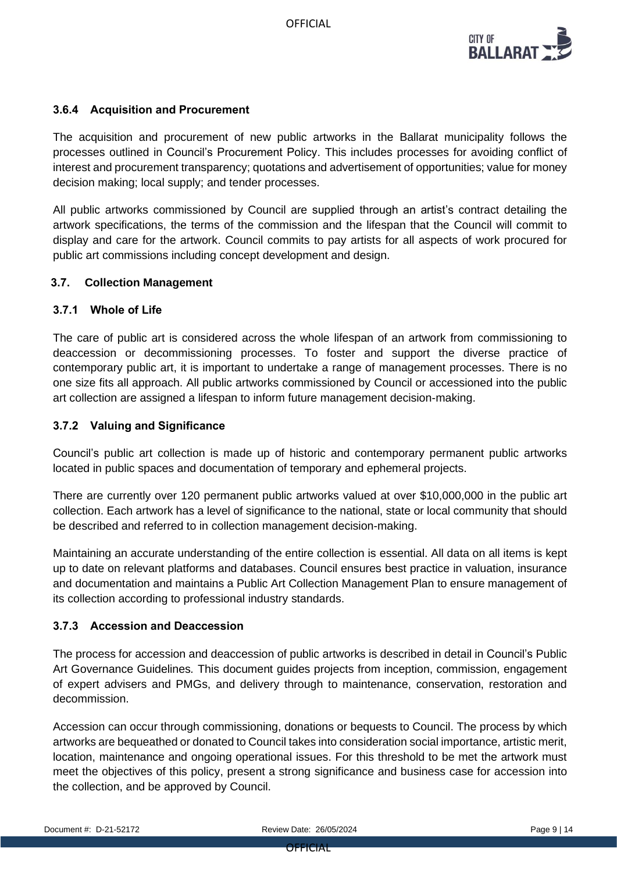

#### **3.6.4 Acquisition and Procurement**

The acquisition and procurement of new public artworks in the Ballarat municipality follows the processes outlined in Council's Procurement Policy. This includes processes for avoiding conflict of interest and procurement transparency; quotations and advertisement of opportunities; value for money decision making; local supply; and tender processes.

All public artworks commissioned by Council are supplied through an artist's contract detailing the artwork specifications, the terms of the commission and the lifespan that the Council will commit to display and care for the artwork. Council commits to pay artists for all aspects of work procured for public art commissions including concept development and design.

#### **3.7. Collection Management**

#### **3.7.1 Whole of Life**

The care of public art is considered across the whole lifespan of an artwork from commissioning to deaccession or decommissioning processes. To foster and support the diverse practice of contemporary public art, it is important to undertake a range of management processes. There is no one size fits all approach. All public artworks commissioned by Council or accessioned into the public art collection are assigned a lifespan to inform future management decision-making.

#### **3.7.2 Valuing and Significance**

Council's public art collection is made up of historic and contemporary permanent public artworks located in public spaces and documentation of temporary and ephemeral projects.

There are currently over 120 permanent public artworks valued at over \$10,000,000 in the public art collection. Each artwork has a level of significance to the national, state or local community that should be described and referred to in collection management decision-making.

Maintaining an accurate understanding of the entire collection is essential. All data on all items is kept up to date on relevant platforms and databases. Council ensures best practice in valuation, insurance and documentation and maintains a Public Art Collection Management Plan to ensure management of its collection according to professional industry standards.

#### **3.7.3 Accession and Deaccession**

The process for accession and deaccession of public artworks is described in detail in Council's Public Art Governance Guidelines*.* This document guides projects from inception, commission, engagement of expert advisers and PMGs, and delivery through to maintenance, conservation, restoration and decommission.

Accession can occur through commissioning, donations or bequests to Council. The process by which artworks are bequeathed or donated to Council takes into consideration social importance, artistic merit, location, maintenance and ongoing operational issues. For this threshold to be met the artwork must meet the objectives of this policy, present a strong significance and business case for accession into the collection, and be approved by Council.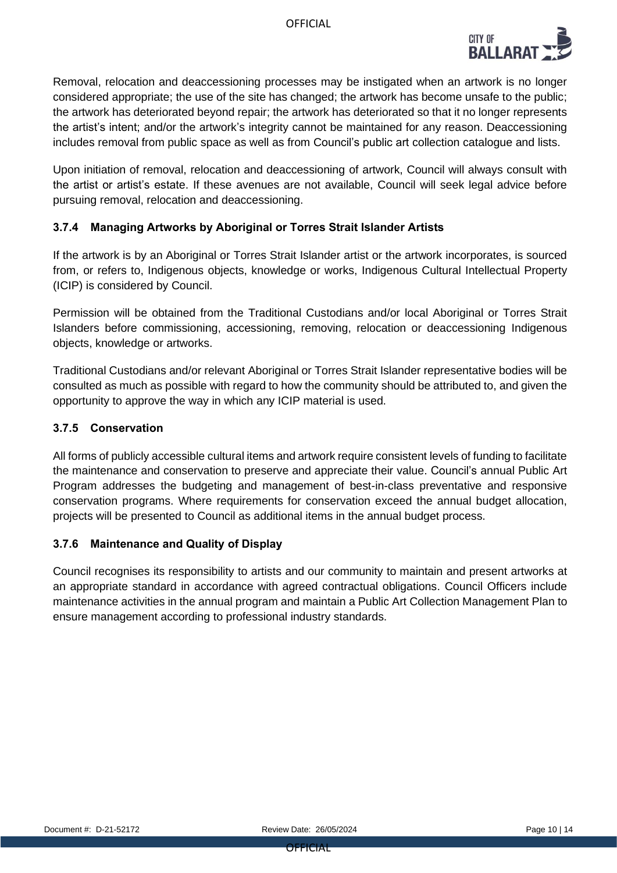

Removal, relocation and deaccessioning processes may be instigated when an artwork is no longer considered appropriate; the use of the site has changed; the artwork has become unsafe to the public; the artwork has deteriorated beyond repair; the artwork has deteriorated so that it no longer represents the artist's intent; and/or the artwork's integrity cannot be maintained for any reason. Deaccessioning includes removal from public space as well as from Council's public art collection catalogue and lists.

Upon initiation of removal, relocation and deaccessioning of artwork, Council will always consult with the artist or artist's estate. If these avenues are not available, Council will seek legal advice before pursuing removal, relocation and deaccessioning.

# **3.7.4 Managing Artworks by Aboriginal or Torres Strait Islander Artists**

If the artwork is by an Aboriginal or Torres Strait Islander artist or the artwork incorporates, is sourced from, or refers to, Indigenous objects, knowledge or works, Indigenous Cultural Intellectual Property (ICIP) is considered by Council.

Permission will be obtained from the Traditional Custodians and/or local Aboriginal or Torres Strait Islanders before commissioning, accessioning, removing, relocation or deaccessioning Indigenous objects, knowledge or artworks.

Traditional Custodians and/or relevant Aboriginal or Torres Strait Islander representative bodies will be consulted as much as possible with regard to how the community should be attributed to, and given the opportunity to approve the way in which any ICIP material is used.

#### **3.7.5 Conservation**

All forms of publicly accessible cultural items and artwork require consistent levels of funding to facilitate the maintenance and conservation to preserve and appreciate their value. Council's annual Public Art Program addresses the budgeting and management of best-in-class preventative and responsive conservation programs. Where requirements for conservation exceed the annual budget allocation, projects will be presented to Council as additional items in the annual budget process.

#### **3.7.6 Maintenance and Quality of Display**

Council recognises its responsibility to artists and our community to maintain and present artworks at an appropriate standard in accordance with agreed contractual obligations. Council Officers include maintenance activities in the annual program and maintain a Public Art Collection Management Plan to ensure management according to professional industry standards.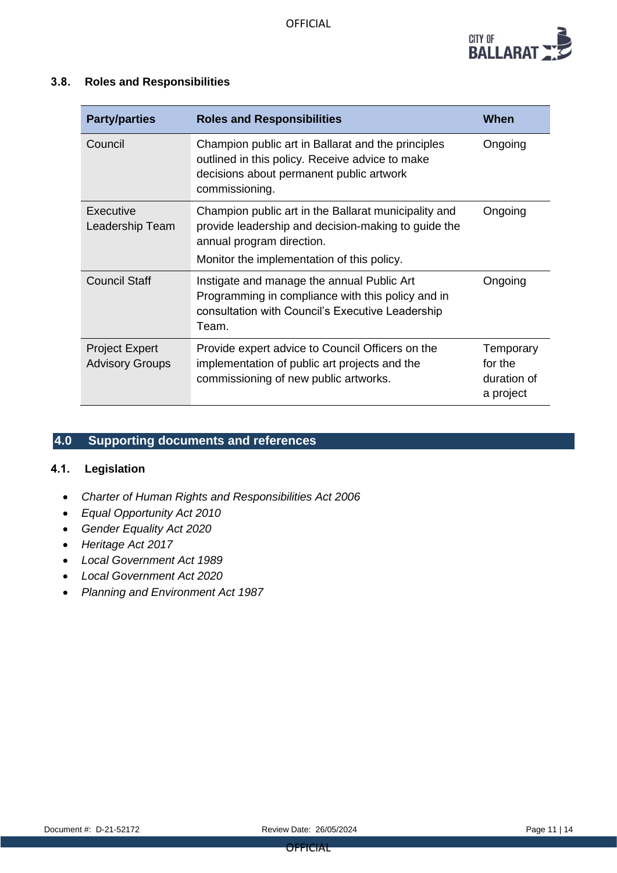

#### **3.8. Roles and Responsibilities**

| <b>Party/parties</b>                            | <b>Roles and Responsibilities</b>                                                                                                                                                      | When                                             |
|-------------------------------------------------|----------------------------------------------------------------------------------------------------------------------------------------------------------------------------------------|--------------------------------------------------|
| Council                                         | Champion public art in Ballarat and the principles<br>outlined in this policy. Receive advice to make<br>decisions about permanent public artwork<br>commissioning.                    | Ongoing                                          |
| Executive<br>Leadership Team                    | Champion public art in the Ballarat municipality and<br>provide leadership and decision-making to guide the<br>annual program direction.<br>Monitor the implementation of this policy. | Ongoing                                          |
| <b>Council Staff</b>                            | Instigate and manage the annual Public Art<br>Programming in compliance with this policy and in<br>consultation with Council's Executive Leadership<br>Team.                           | Ongoing                                          |
| <b>Project Expert</b><br><b>Advisory Groups</b> | Provide expert advice to Council Officers on the<br>implementation of public art projects and the<br>commissioning of new public artworks.                                             | Temporary<br>for the<br>duration of<br>a project |

# **4.0 Supporting documents and references**

#### **4.1. Legislation**

- *Charter of Human Rights and Responsibilities Act 2006*
- *Equal Opportunity Act 2010*
- *Gender Equality Act 2020*
- *Heritage Act 2017*
- *Local Government Act 1989*
- *Local Government Act 2020*
- *Planning and Environment Act 1987*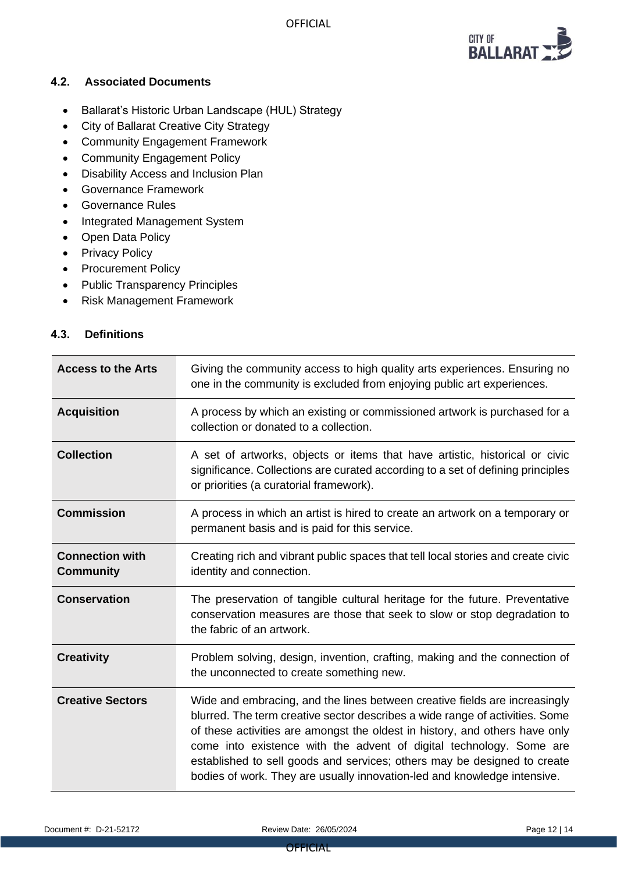OFFICIAL



#### **4.2. Associated Documents**

- Ballarat's Historic Urban Landscape (HUL) Strategy
- City of Ballarat Creative City Strategy
- Community Engagement Framework
- Community Engagement Policy
- Disability Access and Inclusion Plan
- Governance Framework
- Governance Rules
- Integrated Management System
- Open Data Policy
- Privacy Policy
- Procurement Policy
- Public Transparency Principles
- Risk Management Framework

#### **4.3. Definitions**

| <b>Access to the Arts</b>                  | Giving the community access to high quality arts experiences. Ensuring no<br>one in the community is excluded from enjoying public art experiences.                                                                                                                                                                                                                                                                                                                      |
|--------------------------------------------|--------------------------------------------------------------------------------------------------------------------------------------------------------------------------------------------------------------------------------------------------------------------------------------------------------------------------------------------------------------------------------------------------------------------------------------------------------------------------|
| <b>Acquisition</b>                         | A process by which an existing or commissioned artwork is purchased for a<br>collection or donated to a collection.                                                                                                                                                                                                                                                                                                                                                      |
| <b>Collection</b>                          | A set of artworks, objects or items that have artistic, historical or civic<br>significance. Collections are curated according to a set of defining principles<br>or priorities (a curatorial framework).                                                                                                                                                                                                                                                                |
| <b>Commission</b>                          | A process in which an artist is hired to create an artwork on a temporary or<br>permanent basis and is paid for this service.                                                                                                                                                                                                                                                                                                                                            |
| <b>Connection with</b><br><b>Community</b> | Creating rich and vibrant public spaces that tell local stories and create civic<br>identity and connection.                                                                                                                                                                                                                                                                                                                                                             |
| <b>Conservation</b>                        | The preservation of tangible cultural heritage for the future. Preventative<br>conservation measures are those that seek to slow or stop degradation to<br>the fabric of an artwork.                                                                                                                                                                                                                                                                                     |
| <b>Creativity</b>                          | Problem solving, design, invention, crafting, making and the connection of<br>the unconnected to create something new.                                                                                                                                                                                                                                                                                                                                                   |
| <b>Creative Sectors</b>                    | Wide and embracing, and the lines between creative fields are increasingly<br>blurred. The term creative sector describes a wide range of activities. Some<br>of these activities are amongst the oldest in history, and others have only<br>come into existence with the advent of digital technology. Some are<br>established to sell goods and services; others may be designed to create<br>bodies of work. They are usually innovation-led and knowledge intensive. |

OFFICIAL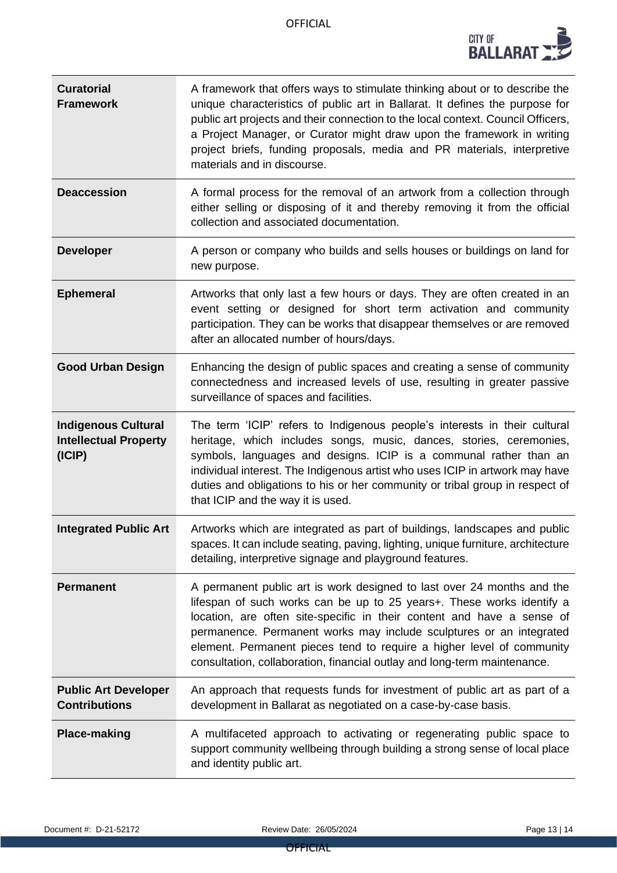

| <b>Curatorial</b><br><b>Framework</b>                                | A framework that offers ways to stimulate thinking about or to describe the<br>unique characteristics of public art in Ballarat. It defines the purpose for<br>public art projects and their connection to the local context. Council Officers,<br>a Project Manager, or Curator might draw upon the framework in writing<br>project briefs, funding proposals, media and PR materials, interpretive<br>materials and in discourse.                   |
|----------------------------------------------------------------------|-------------------------------------------------------------------------------------------------------------------------------------------------------------------------------------------------------------------------------------------------------------------------------------------------------------------------------------------------------------------------------------------------------------------------------------------------------|
| <b>Deaccession</b>                                                   | A formal process for the removal of an artwork from a collection through<br>either selling or disposing of it and thereby removing it from the official<br>collection and associated documentation.                                                                                                                                                                                                                                                   |
| <b>Developer</b>                                                     | A person or company who builds and sells houses or buildings on land for<br>new purpose.                                                                                                                                                                                                                                                                                                                                                              |
| <b>Ephemeral</b>                                                     | Artworks that only last a few hours or days. They are often created in an<br>event setting or designed for short term activation and community<br>participation. They can be works that disappear themselves or are removed<br>after an allocated number of hours/days.                                                                                                                                                                               |
| <b>Good Urban Design</b>                                             | Enhancing the design of public spaces and creating a sense of community<br>connectedness and increased levels of use, resulting in greater passive<br>surveillance of spaces and facilities.                                                                                                                                                                                                                                                          |
| <b>Indigenous Cultural</b><br><b>Intellectual Property</b><br>(ICIP) | The term 'ICIP' refers to Indigenous people's interests in their cultural<br>heritage, which includes songs, music, dances, stories, ceremonies,<br>symbols, languages and designs. ICIP is a communal rather than an<br>individual interest. The Indigenous artist who uses ICIP in artwork may have<br>duties and obligations to his or her community or tribal group in respect of<br>that ICIP and the way it is used.                            |
| <b>Integrated Public Art</b>                                         | Artworks which are integrated as part of buildings, landscapes and public<br>spaces. It can include seating, paving, lighting, unique furniture, architecture<br>detailing, interpretive signage and playground features.                                                                                                                                                                                                                             |
| <b>Permanent</b>                                                     | A permanent public art is work designed to last over 24 months and the<br>lifespan of such works can be up to 25 years+. These works identify a<br>location, are often site-specific in their content and have a sense of<br>permanence. Permanent works may include sculptures or an integrated<br>element. Permanent pieces tend to require a higher level of community<br>consultation, collaboration, financial outlay and long-term maintenance. |
| <b>Public Art Developer</b><br><b>Contributions</b>                  | An approach that requests funds for investment of public art as part of a<br>development in Ballarat as negotiated on a case-by-case basis.                                                                                                                                                                                                                                                                                                           |
| <b>Place-making</b>                                                  | A multifaceted approach to activating or regenerating public space to<br>support community wellbeing through building a strong sense of local place<br>and identity public art.                                                                                                                                                                                                                                                                       |